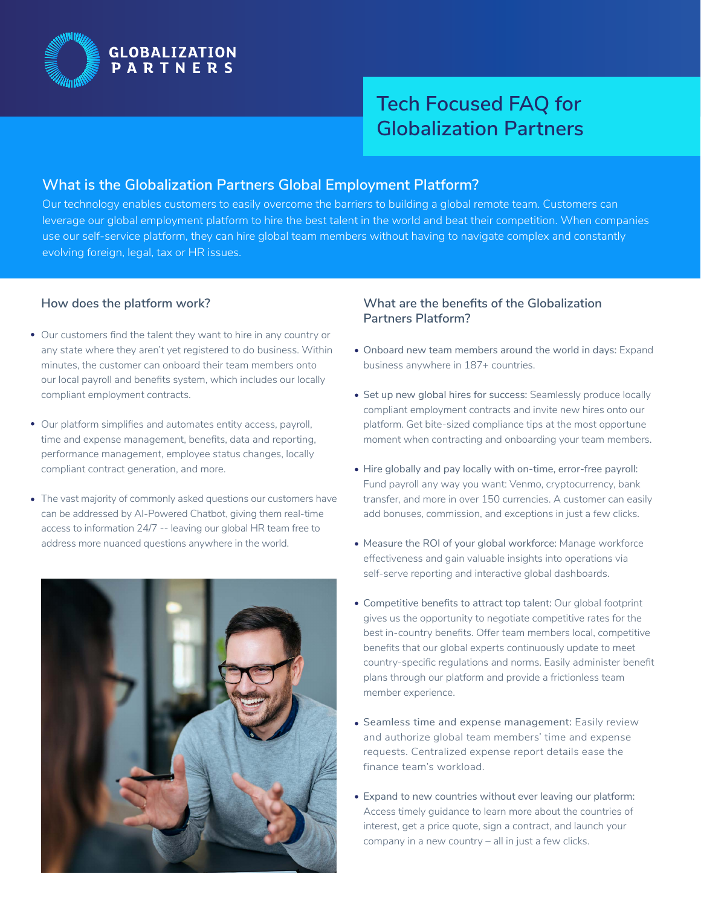

# **Tech Focused FAQ for Globalization Partners**

#### **What is the Globalization Partners Global Employment Platform?**

Our technology enables customers to easily overcome the barriers to building a global remote team. Customers can leverage our global employment platform to hire the best talent in the world and beat their competition. When companies use our self-service platform, they can hire global team members without having to navigate complex and constantly evolving foreign, legal, tax or HR issues.

#### **How does the platform work?**

- Our customers find the talent they want to hire in any country or any state where they aren't yet registered to do business. Within minutes, the customer can onboard their team members onto our local payroll and benefits system, which includes our locally compliant employment contracts.
- Our platform simplifies and automates entity access, payroll, time and expense management, benefits, data and reporting, performance management, employee status changes, locally compliant contract generation, and more.
- The vast majority of commonly asked questions our customers have can be addressed by AI-Powered Chatbot, giving them real-time access to information 24/7 -- leaving our global HR team free to address more nuanced questions anywhere in the world.



#### **What are the benefits of the Globalization Partners Platform?**

- Onboard new team members around the world in days: Expand business anywhere in 187+ countries.
- Set up new global hires for success: Seamlessly produce locally compliant employment contracts and invite new hires onto our platform. Get bite-sized compliance tips at the most opportune moment when contracting and onboarding your team members.
- Hire globally and pay locally with on-time, error-free payroll: Fund payroll any way you want: Venmo, cryptocurrency, bank transfer, and more in over 150 currencies. A customer can easily add bonuses, commission, and exceptions in just a few clicks.
- Measure the ROI of your global workforce: Manage workforce effectiveness and gain valuable insights into operations via self-serve reporting and interactive global dashboards.
- Competitive benefits to attract top talent: Our global footprint gives us the opportunity to negotiate competitive rates for the best in-country benefits. Offer team members local, competitive benefits that our global experts continuously update to meet country-specific regulations and norms. Easily administer benefit plans through our platform and provide a frictionless team member experience.
- Seamless time and expense management: Easily review and authorize global team members' time and expense requests. Centralized expense report details ease the finance team's workload.
- Expand to new countries without ever leaving our platform: Access timely guidance to learn more about the countries of interest, get a price quote, sign a contract, and launch your company in a new country – all in just a few clicks.